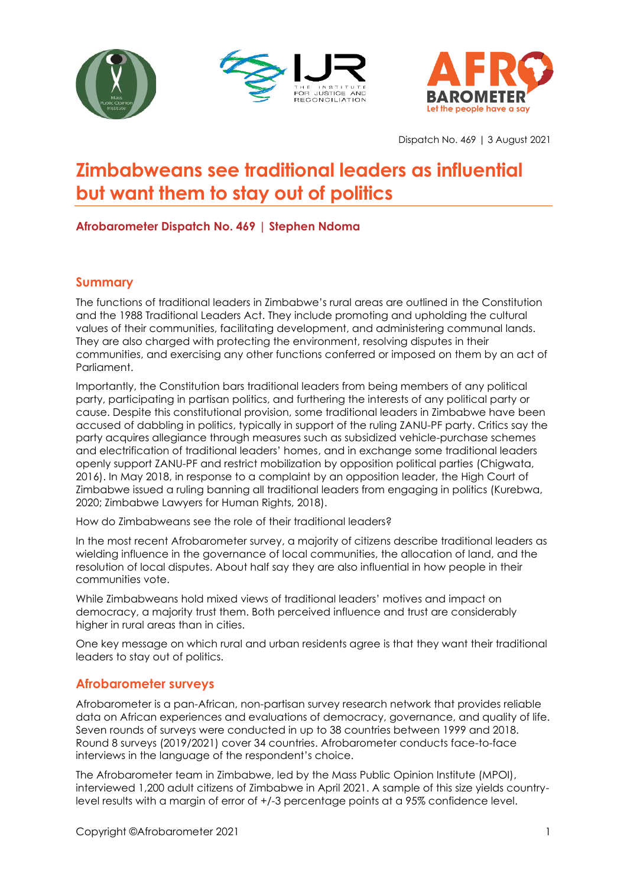





Dispatch No. 469 | 3 August 2021

# **Zimbabweans see traditional leaders as influential but want them to stay out of politics**

## **Afrobarometer Dispatch No. 469 | Stephen Ndoma**

#### **Summary**

The functions of traditional leaders in Zimbabwe's rural areas are outlined in the Constitution and the 1988 Traditional Leaders Act. They include promoting and upholding the cultural values of their communities, facilitating development, and administering communal lands. They are also charged with protecting the environment, resolving disputes in their communities, and exercising any other functions conferred or imposed on them by an act of Parliament.

Importantly, the Constitution bars traditional leaders from being members of any political party, participating in partisan politics, and furthering the interests of any political party or cause. Despite this constitutional provision, some traditional leaders in Zimbabwe have been accused of dabbling in politics, typically in support of the ruling ZANU-PF party. Critics say the party acquires allegiance through measures such as subsidized vehicle-purchase schemes and electrification of traditional leaders' homes, and in exchange some traditional leaders openly support ZANU-PF and restrict mobilization by opposition political parties (Chigwata, 2016). In May 2018, in response to a complaint by an opposition leader, the High Court of Zimbabwe issued a ruling banning all traditional leaders from engaging in politics (Kurebwa, 2020; Zimbabwe Lawyers for Human Rights, 2018).

How do Zimbabweans see the role of their traditional leaders?

In the most recent Afrobarometer survey, a majority of citizens describe traditional leaders as wielding influence in the governance of local communities, the allocation of land, and the resolution of local disputes. About half say they are also influential in how people in their communities vote.

While Zimbabweans hold mixed views of traditional leaders' motives and impact on democracy, a majority trust them. Both perceived influence and trust are considerably higher in rural areas than in cities.

One key message on which rural and urban residents agree is that they want their traditional leaders to stay out of politics.

#### **Afrobarometer surveys**

Afrobarometer is a pan-African, non-partisan survey research network that provides reliable data on African experiences and evaluations of democracy, governance, and quality of life. Seven rounds of surveys were conducted in up to 38 countries between 1999 and 2018. Round 8 surveys (2019/2021) cover 34 countries. Afrobarometer conducts face-to-face interviews in the language of the respondent's choice.

The Afrobarometer team in Zimbabwe, led by the Mass Public Opinion Institute (MPOI), interviewed 1,200 adult citizens of Zimbabwe in April 2021. A sample of this size yields countrylevel results with a margin of error of +/-3 percentage points at a 95% confidence level.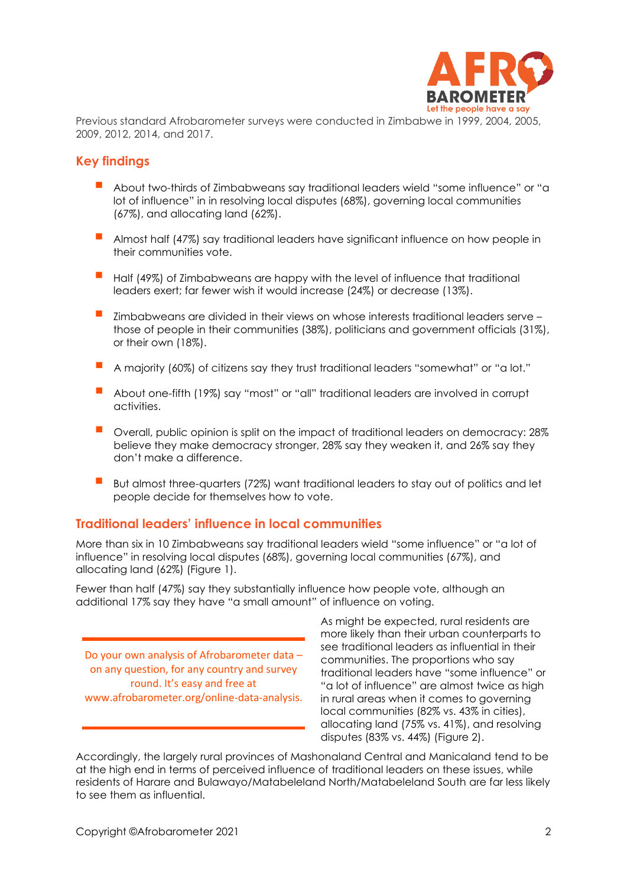

Previous standard Afrobarometer surveys were conducted in Zimbabwe in 1999, 2004, 2005, 2009, 2012, 2014, and 2017.

#### **Key findings**

- About two-thirds of Zimbabweans say traditional leaders wield "some influence" or "a lot of influence" in in resolving local disputes (68%), governing local communities (67%), and allocating land (62%).
- Almost half (47%) say traditional leaders have significant influence on how people in their communities vote.
- Half (49%) of Zimbabweans are happy with the level of influence that traditional leaders exert; far fewer wish it would increase (24%) or decrease (13%).
- Zimbabweans are divided in their views on whose interests traditional leaders serve those of people in their communities (38%), politicians and government officials (31%), or their own (18%).
- A majority (60%) of citizens say they trust traditional leaders "somewhat" or "a lot."
- About one-fifth (19%) say "most" or "all" traditional leaders are involved in corrupt activities.
- Overall, public opinion is split on the impact of traditional leaders on democracy: 28% believe they make democracy stronger, 28% say they weaken it, and 26% say they don't make a difference.
- But almost three-quarters (72%) want traditional leaders to stay out of politics and let people decide for themselves how to vote.

#### **Traditional leaders' influence in local communities**

More than six in 10 Zimbabweans say traditional leaders wield "some influence" or "a lot of influence" in resolving local disputes (68%), governing local communities (67%), and allocating land (62%) (Figure 1).

Fewer than half (47%) say they substantially influence how people vote, although an additional 17% say they have "a small amount" of influence on voting.

Do your own analysis of Afrobarometer data – on any question, for any country and survey round. It's easy and free at www.afrobarometer.org/online-data-analysis. As might be expected, rural residents are more likely than their urban counterparts to see traditional leaders as influential in their communities. The proportions who say traditional leaders have "some influence" or "a lot of influence" are almost twice as high in rural areas when it comes to governing local communities (82% vs. 43% in cities), allocating land (75% vs. 41%), and resolving disputes (83% vs. 44%) (Figure 2).

Accordingly, the largely rural provinces of Mashonaland Central and Manicaland tend to be at the high end in terms of perceived influence of traditional leaders on these issues, while residents of Harare and Bulawayo/Matabeleland North/Matabeleland South are far less likely to see them as influential.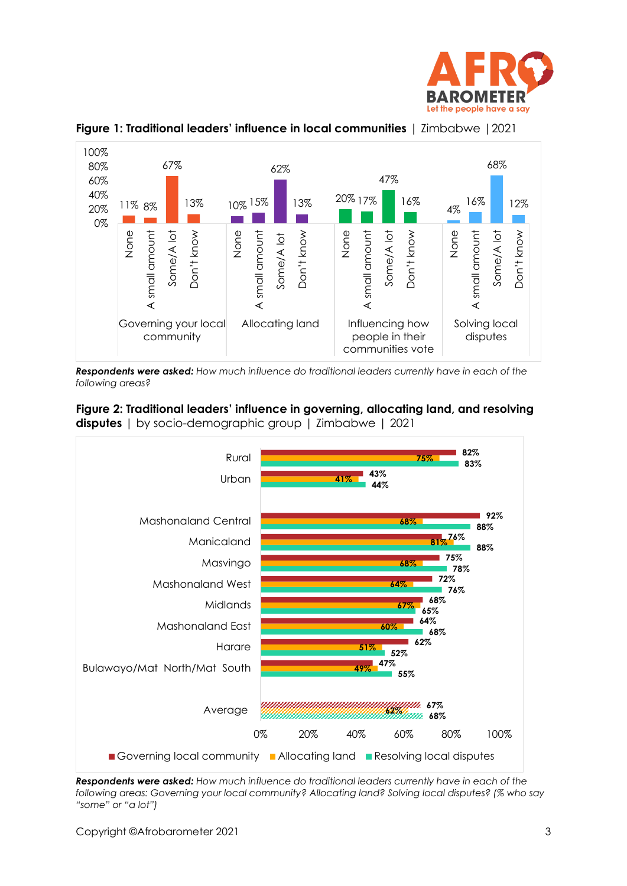



**Figure 1: Traditional leaders' influence in local communities** | Zimbabwe |2021

*Respondents were asked: How much influence do traditional leaders currently have in each of the following areas?*





*Respondents were asked: How much influence do traditional leaders currently have in each of the following areas: Governing your local community? Allocating land? Solving local disputes? (% who say "some" or "a lot")*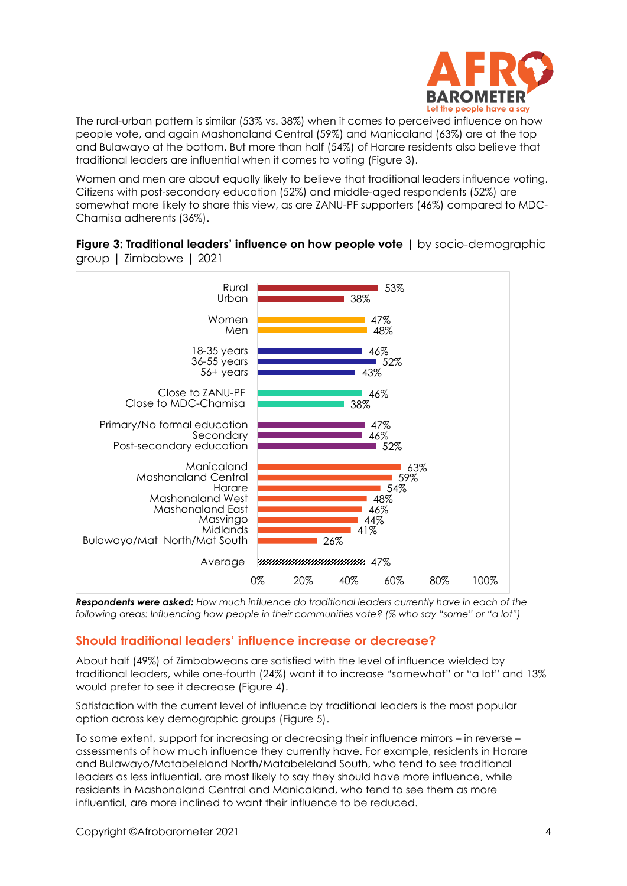

The rural-urban pattern is similar (53% vs. 38%) when it comes to perceived influence on how people vote, and again Mashonaland Central (59%) and Manicaland (63%) are at the top and Bulawayo at the bottom. But more than half (54%) of Harare residents also believe that traditional leaders are influential when it comes to voting (Figure 3).

Women and men are about equally likely to believe that traditional leaders influence voting. Citizens with post-secondary education (52%) and middle-aged respondents (52%) are somewhat more likely to share this view, as are ZANU-PF supporters (46%) compared to MDC-Chamisa adherents (36%).

**Figure 3: Traditional leaders' influence on how people vote** | by socio-demographic group | Zimbabwe | 2021



*Respondents were asked: How much influence do traditional leaders currently have in each of the following areas: Influencing how people in their communities vote? (% who say "some" or "a lot")*

## **Should traditional leaders' influence increase or decrease?**

About half (49%) of Zimbabweans are satisfied with the level of influence wielded by traditional leaders, while one-fourth (24%) want it to increase "somewhat" or "a lot" and 13% would prefer to see it decrease (Figure 4).

Satisfaction with the current level of influence by traditional leaders is the most popular option across key demographic groups (Figure 5).

To some extent, support for increasing or decreasing their influence mirrors – in reverse – assessments of how much influence they currently have. For example, residents in Harare and Bulawayo/Matabeleland North/Matabeleland South, who tend to see traditional leaders as less influential, are most likely to say they should have more influence, while residents in Mashonaland Central and Manicaland, who tend to see them as more influential, are more inclined to want their influence to be reduced.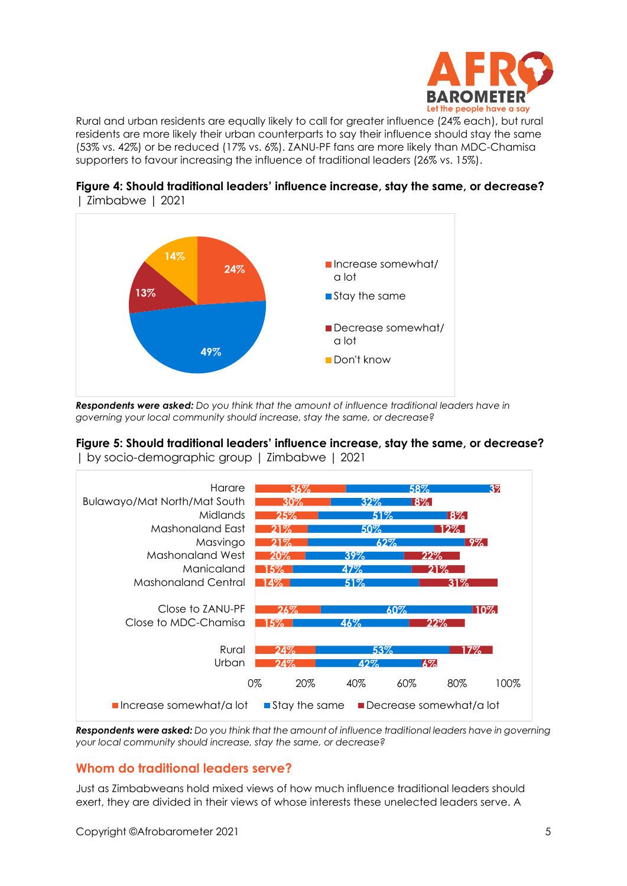

Rural and urban residents are equally likely to call for greater influence (24% each), but rural residents are more likely their urban counterparts to say their influence should stay the same (53% vs. 42%) or be reduced (17% vs. 6%). ZANU-PF fans are more likely than MDC-Chamisa supporters to favour increasing the influence of traditional leaders (26% vs. 15%).



**Figure 4: Should traditional leaders' influence increase, stay the same, or decrease?** | Zimbabwe | 2021

*Respondents were asked: Do you think that the amount of influence traditional leaders have in governing your local community should increase, stay the same, or decrease?* 

## **Figure 5: Should traditional leaders' influence increase, stay the same, or decrease?**

| by socio-demographic group | Zimbabwe | 2021



*Respondents were asked: Do you think that the amount of influence traditional leaders have in governing your local community should increase, stay the same, or decrease?* 

## **Whom do traditional leaders serve?**

Just as Zimbabweans hold mixed views of how much influence traditional leaders should exert, they are divided in their views of whose interests these unelected leaders serve. A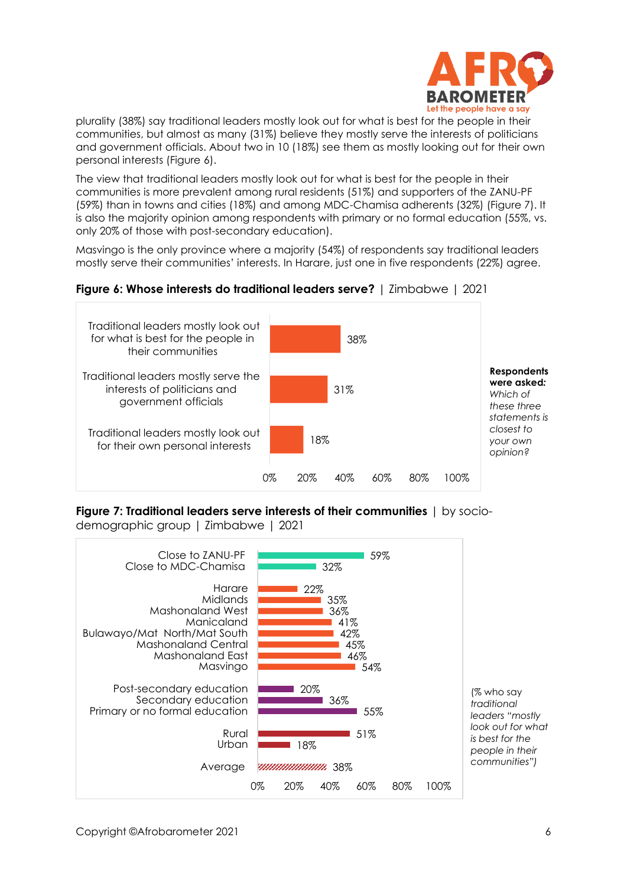

plurality (38%) say traditional leaders mostly look out for what is best for the people in their communities, but almost as many (31%) believe they mostly serve the interests of politicians and government officials. About two in 10 (18%) see them as mostly looking out for their own personal interests (Figure 6).

The view that traditional leaders mostly look out for what is best for the people in their communities is more prevalent among rural residents (51%) and supporters of the ZANU-PF (59%) than in towns and cities (18%) and among MDC-Chamisa adherents (32%) (Figure 7). It is also the majority opinion among respondents with primary or no formal education (55%, vs. only 20% of those with post-secondary education).

Masvingo is the only province where a majority (54%) of respondents say traditional leaders mostly serve their communities' interests. In Harare, just one in five respondents (22%) agree.

#### **Figure 6: Whose interests do traditional leaders serve?** | Zimbabwe | 2021



**Figure 7: Traditional leaders serve interests of their communities** | by sociodemographic group | Zimbabwe | 2021

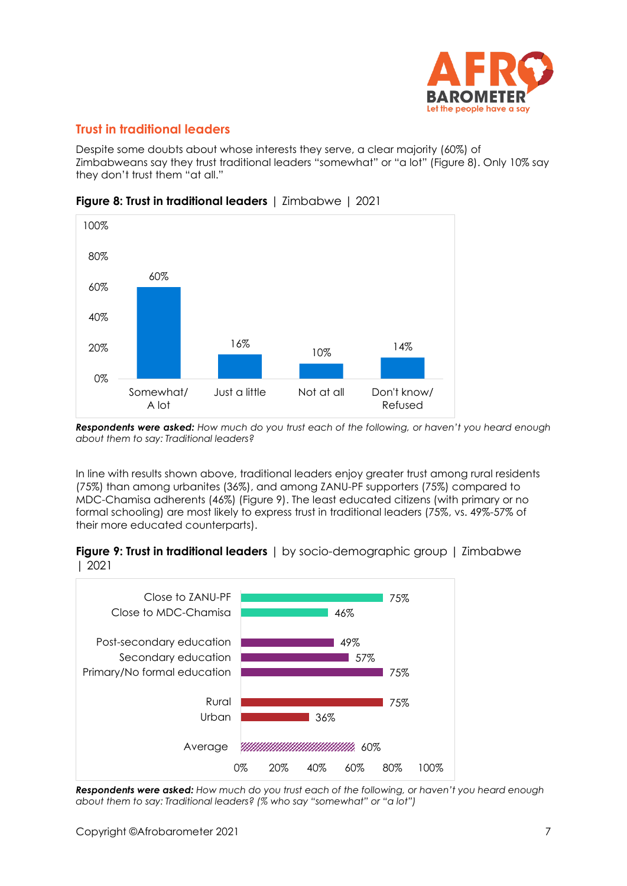

## **Trust in traditional leaders**

Despite some doubts about whose interests they serve, a clear majority (60%) of Zimbabweans say they trust traditional leaders "somewhat" or "a lot" (Figure 8). Only 10% say they don't trust them "at all."



**Figure 8: Trust in traditional leaders** | Zimbabwe | 2021

*Respondents were asked: How much do you trust each of the following, or haven't you heard enough about them to say: Traditional leaders?*

In line with results shown above, traditional leaders enjoy greater trust among rural residents (75%) than among urbanites (36%), and among ZANU-PF supporters (75%) compared to MDC-Chamisa adherents (46%) (Figure 9). The least educated citizens (with primary or no formal schooling) are most likely to express trust in traditional leaders (75%, vs. 49%-57% of their more educated counterparts).

**Figure 9: Trust in traditional leaders** | by socio-demographic group | Zimbabwe | 2021



*Respondents were asked: How much do you trust each of the following, or haven't you heard enough about them to say: Traditional leaders? (% who say "somewhat" or "a lot")*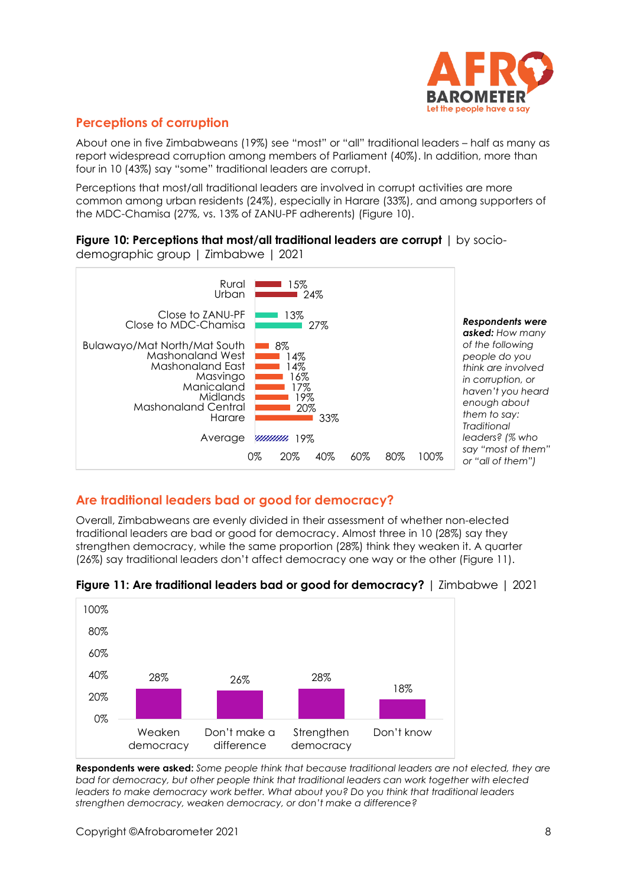

## **Perceptions of corruption**

About one in five Zimbabweans (19%) see "most" or "all" traditional leaders – half as many as report widespread corruption among members of Parliament (40%). In addition, more than four in 10 (43%) say "some" traditional leaders are corrupt.

Perceptions that most/all traditional leaders are involved in corrupt activities are more common among urban residents (24%), especially in Harare (33%), and among supporters of the MDC-Chamisa (27%, vs. 13% of ZANU-PF adherents) (Figure 10).

#### **Figure 10: Perceptions that most/all traditional leaders are corrupt** | by socio-

demographic group | Zimbabwe | 2021



## **Are traditional leaders bad or good for democracy?**

Overall, Zimbabweans are evenly divided in their assessment of whether non-elected traditional leaders are bad or good for democracy. Almost three in 10 (28%) say they strengthen democracy, while the same proportion (28%) think they weaken it. A quarter (26%) say traditional leaders don't affect democracy one way or the other (Figure 11).



**Figure 11: Are traditional leaders bad or good for democracy?** | Zimbabwe | 2021

**Respondents were asked:** *Some people think that because traditional leaders are not elected, they are bad for democracy, but other people think that traditional leaders can work together with elected leaders to make democracy work better. What about you? Do you think that traditional leaders strengthen democracy, weaken democracy, or don't make a difference?*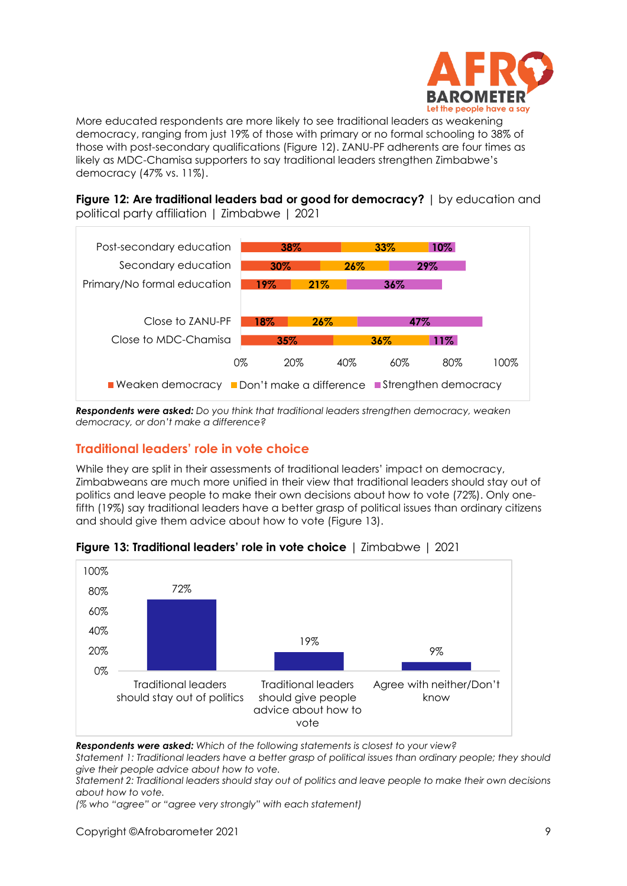

More educated respondents are more likely to see traditional leaders as weakening democracy, ranging from just 19% of those with primary or no formal schooling to 38% of those with post-secondary qualifications (Figure 12). ZANU-PF adherents are four times as likely as MDC-Chamisa supporters to say traditional leaders strengthen Zimbabwe's democracy (47% vs. 11%).

**Figure 12: Are traditional leaders bad or good for democracy?** | by education and political party affiliation | Zimbabwe | 2021



*Respondents were asked: Do you think that traditional leaders strengthen democracy, weaken democracy, or don't make a difference?*

## **Traditional leaders' role in vote choice**

While they are split in their assessments of traditional leaders' impact on democracy, Zimbabweans are much more unified in their view that traditional leaders should stay out of politics and leave people to make their own decisions about how to vote (72%). Only onefifth (19%) say traditional leaders have a better grasp of political issues than ordinary citizens and should give them advice about how to vote (Figure 13).



#### **Figure 13: Traditional leaders' role in vote choice** | Zimbabwe | 2021

*Respondents were asked: Which of the following statements is closest to your view?* 

*Statement 1: Traditional leaders have a better grasp of political issues than ordinary people; they should give their people advice about how to vote.*

*Statement 2: Traditional leaders should stay out of politics and leave people to make their own decisions about how to vote.*

*(% who "agree" or "agree very strongly" with each statement)*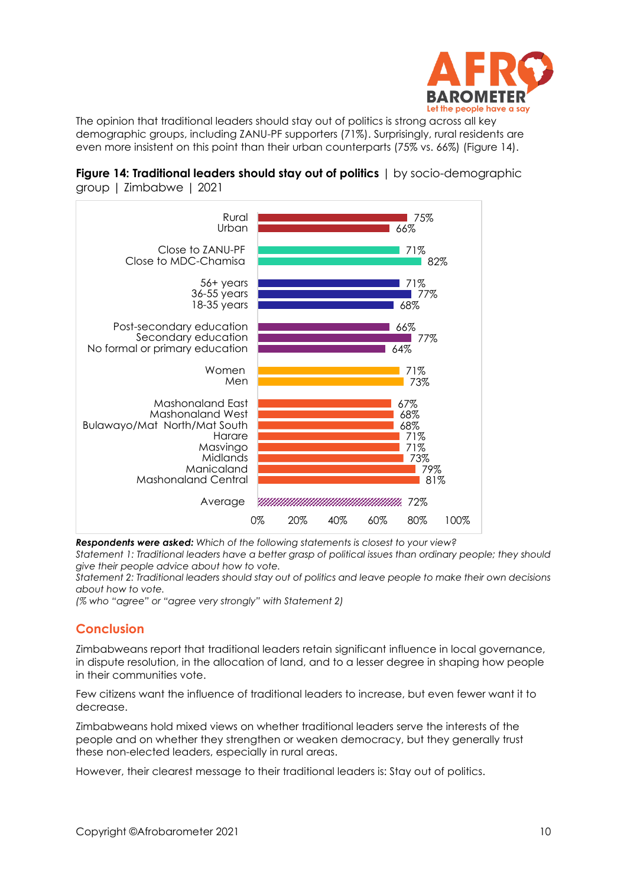

The opinion that traditional leaders should stay out of politics is strong across all key demographic groups, including ZANU-PF supporters (71%). Surprisingly, rural residents are even more insistent on this point than their urban counterparts (75% vs. 66%) (Figure 14).





*Respondents were asked: Which of the following statements is closest to your view?* 

*Statement 1: Traditional leaders have a better grasp of political issues than ordinary people; they should give their people advice about how to vote.*

*Statement 2: Traditional leaders should stay out of politics and leave people to make their own decisions about how to vote.*

*(% who "agree" or "agree very strongly" with Statement 2)*

#### **Conclusion**

Zimbabweans report that traditional leaders retain significant influence in local governance, in dispute resolution, in the allocation of land, and to a lesser degree in shaping how people in their communities vote.

Few citizens want the influence of traditional leaders to increase, but even fewer want it to decrease.

Zimbabweans hold mixed views on whether traditional leaders serve the interests of the people and on whether they strengthen or weaken democracy, but they generally trust these non-elected leaders, especially in rural areas.

However, their clearest message to their traditional leaders is: Stay out of politics.